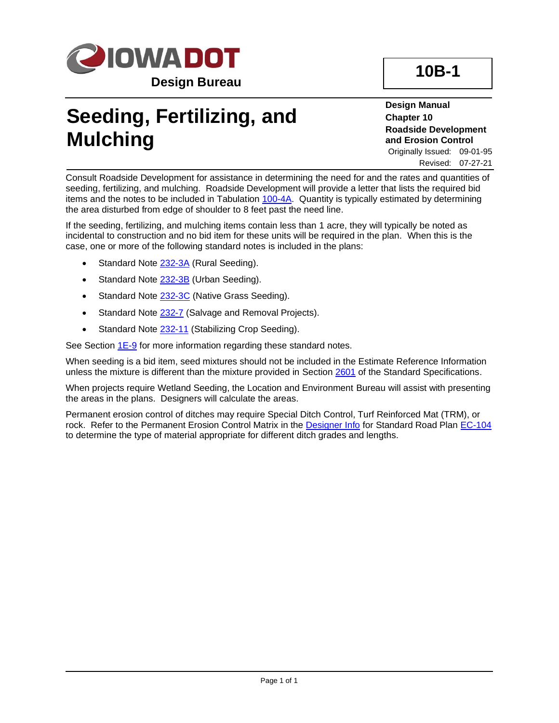

## **Seeding, Fertilizing, and Mulching**

**Design Manual Chapter 10 Roadside Development and Erosion Control** Originally Issued: 09-01-95

Revised: 07-27-21

Consult Roadside Development for assistance in determining the need for and the rates and quantities of seeding, fertilizing, and mulching. Roadside Development will provide a letter that lists the required bid items and the notes to be included in Tabulation [100-4A.](../tnt/PDFsandWebFiles/IndividualPDFs/0100-04A.PDF) Quantity is typically estimated by determining the area disturbed from edge of shoulder to 8 feet past the need line.

If the seeding, fertilizing, and mulching items contain less than 1 acre, they will typically be noted as incidental to construction and no bid item for these units will be required in the plan. When this is the case, one or more of the following standard notes is included in the plans:

- Standard Note [232-3A](../tnt/PDFsandWebFiles/IndividualPDFs/0232-03A.PDF) (Rural Seeding).
- Standard Note [232-3B](../tnt/PDFsandWebFiles/IndividualPDFs/0232-03B.PDF) (Urban Seeding).
- Standard Note [232-3C](../tnt/PDFsandWebFiles/IndividualPDFs/0232-03C.PDF) (Native Grass Seeding).
- Standard Note [232-7](../tnt/PDFsandWebFiles/IndividualPDFs/0232-07.PDF) (Salvage and Removal Projects).
- Standard Note [232-11](../tnt/PDFsandWebFiles/IndividualPDFs/0232-11.PDF) (Stabilizing Crop Seeding).

See Section [1E-9](01E-09.pdf) for more information regarding these standard notes.

When seeding is a bid item, seed mixtures should not be included in the Estimate Reference Information unless the mixture is different than the mixture provided in Section [2601](../../erl/current/GS/content/2601.htm) of the Standard Specifications.

When projects require Wetland Seeding, the Location and Environment Bureau will assist with presenting the areas in the plans. Designers will calculate the areas.

Permanent erosion control of ditches may require Special Ditch Control, Turf Reinforced Mat (TRM), or rock. Refer to the Permanent Erosion Control Matrix in the [Designer Info](01E-06/EC-104.pdf) for Standard Road Plan [EC-104](../SRP/IndividualStandards/ec104.pdf) to determine the type of material appropriate for different ditch grades and lengths.